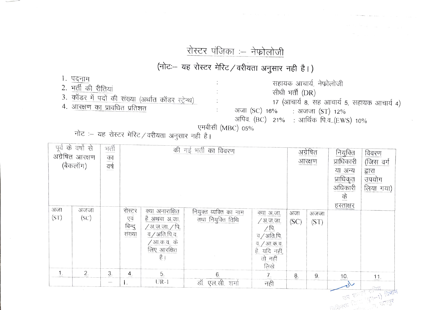## रोस्टर पंजिका :- नेफोलोजी

## (नोट :- यह रोस्टर मेरिट / वरीयता अनुसार नही है।)

- 1. पदनाम
- 2. भर्ती की रीतियां
- 3. कॉडर में पदों की संख्या (अर्थात कॉडर स्ट्रेन्थ)
- 4. आरक्षण का प्रावधित प्रतिशत

सहायक आचार्य, नेफ्रोलोजी सीधी भर्ती (DR) 17 (आचार्य 8, सह आचार्य 5, सहायक आचार्य 4) अजा (SC) 16% : अजजा (ST) 12%

अपिव. (BC) 21% : आर्थिक पि.व..(EWS) 10%

एमबीसी (MBC) 05%

नोट :- यह रोस्टर मेरिट / वरीयता अनुसार नही है।

| के वर्षो से<br>पूर्वे<br>अग्रेषित आरक्षण<br>(बैकलॉग) |              | भर्ती<br>का<br>वर्ष | की गई भर्ती का विवरण<br>अग्रेषित<br>आरक्षण |                                  |                        |                             |      |      | नियुक्ति<br>प्राधिकारी<br>या अन्य<br>प्राधिकृत<br>अधिकारी<br><u>के</u><br>हरताक्षर | विवरण<br>(जिस वर्ग<br>द्वारा<br>उपयोग<br>लिया गया) |
|------------------------------------------------------|--------------|---------------------|--------------------------------------------|----------------------------------|------------------------|-----------------------------|------|------|------------------------------------------------------------------------------------|----------------------------------------------------|
| अजा<br>(ST)                                          | अजजा<br>(SC) |                     | रोस्टर<br>एवं                              | क्या अनाराक्षित                  | नियुक्त व्यक्ति का नाम | क्या अ.जा.                  | अजा  | अजजा |                                                                                    |                                                    |
|                                                      |              |                     | बिन्दु                                     | है अथवा अ.जा.<br>/ अ.ज.जा. / पि. | तथा नियुक्ति तिथि      | / अ.ज.जा.                   | (SC) | (ST) |                                                                                    |                                                    |
|                                                      |              |                     | संख्या                                     | व / अति.पि.व.                    |                        | $\angle$ षि.<br>व / अति.पि. |      |      |                                                                                    |                                                    |
|                                                      |              |                     |                                            | /आ.क.व. के                       |                        | व. / आ.क.च.                 |      |      |                                                                                    |                                                    |
|                                                      |              |                     |                                            | लिए आरक्षित<br>है                |                        | है, यदि नहीं,               |      |      |                                                                                    |                                                    |
|                                                      |              |                     |                                            |                                  |                        | तो नहीं<br>लिखे             |      |      |                                                                                    |                                                    |
| $\frac{1}{2}$                                        | 2.           | 3.                  | $\overline{4}$ .                           | 5 <sub>1</sub>                   | 6.                     | 7 <sub>1</sub>              | 8.   | 9.   | $\underline{10}$ .                                                                 | 11.                                                |
|                                                      |              | $-$                 | 1.                                         | $UR-1$                           | डॉ. एल.सी. शर्मा       | नही                         |      |      | $\sim$                                                                             | $-2d$                                              |

स्त्री स्थान<br>स्थानका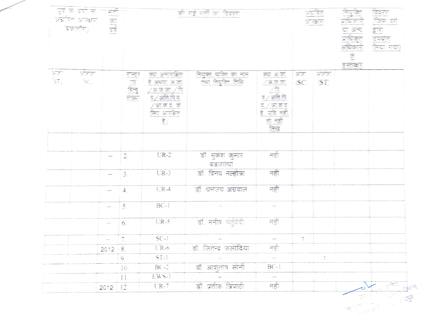|           | पूर्व के बर्षों से गण <u>मती</u><br>अमेरित आख्श्यण ( <u>का</u><br>(वेकलॉर) ( ) वर्षे |                            | को गई भर्ती का विक्श्ण                                                                                               |                                             |                                                                                                                                                                                     |                                           |             | नियुक्ति<br>प्राधिकारी<br>ला अन्य ।<br>प्राधिकृत । उपयोग<br>अधिकारी । तिया ग<br>ेके<br>इस्ताक्षर | विदरण<br>जिस वर्ग<br>तिया गया) |
|-----------|--------------------------------------------------------------------------------------|----------------------------|----------------------------------------------------------------------------------------------------------------------|---------------------------------------------|-------------------------------------------------------------------------------------------------------------------------------------------------------------------------------------|-------------------------------------------|-------------|--------------------------------------------------------------------------------------------------|--------------------------------|
| 33.<br>ST | 555<br>SC                                                                            | रास्टर<br>बिन्दु<br>संख्या | ं क्या अनाराखित<br>हे अथवा अ.जा.<br><u>/आकव के</u><br>लिए आरक्षित<br>$\overline{\overline{\overline{\overline{c}}}}$ | नियुक्त व्यक्ति का नान<br>तथा नियुक्ति तिथि | $\overline{G[0]} \quad \overline{G}[\overline{G}][\overline{G}]$<br>$\frac{1}{\sqrt{32.5}}$<br>$\frac{1}{\sqrt{32}}$<br>व / अतिथि<br>व_/ आ.क.व<br>हे, यदि नहीं,<br>तो नहीं<br>लिखें | $S\backslash \mathcal{T}$<br>$\langle$ SC | 30701<br>ST |                                                                                                  |                                |
|           |                                                                                      | $\overline{2}$ .           | $UR-2$                                                                                                               | डॉ. मुकेश कुमार                             | नही                                                                                                                                                                                 |                                           |             |                                                                                                  |                                |
|           |                                                                                      | $\overline{3}$ .           | $UR-3$                                                                                                               | बडजात्या<br>डॉ. विनय मल्होत्रा              | नही                                                                                                                                                                                 |                                           |             |                                                                                                  |                                |
|           |                                                                                      | 4.                         | $UR-4$                                                                                                               | डॉ. धनंजय अग्रवाल                           | नही                                                                                                                                                                                 |                                           |             |                                                                                                  |                                |
|           |                                                                                      | 5.                         | $BC-1$                                                                                                               |                                             |                                                                                                                                                                                     |                                           |             |                                                                                                  |                                |
|           |                                                                                      | 6.                         | $UR-5$                                                                                                               | डॉ. मनीष चर्तुवेदी                          | नही                                                                                                                                                                                 |                                           |             |                                                                                                  |                                |
|           |                                                                                      | 7.                         | $SC-1$                                                                                                               |                                             |                                                                                                                                                                                     | 1                                         |             |                                                                                                  |                                |
|           | 2012                                                                                 | 18.                        | $UR-6$                                                                                                               | डॉ. जितेन्द्र फलोदिया                       | $\overrightarrow{\eta_{\mathrm{C}}^{\mathrm{a}}}$                                                                                                                                   |                                           |             |                                                                                                  |                                |
|           |                                                                                      | 9.                         | ST-1                                                                                                                 |                                             |                                                                                                                                                                                     |                                           | 1           |                                                                                                  |                                |
|           |                                                                                      | 10.                        | $BC-2$                                                                                                               | डॉ. आशुतोष सोनी                             | $BC-1$                                                                                                                                                                              |                                           |             |                                                                                                  |                                |
|           |                                                                                      | Ħ.                         | EWS-1                                                                                                                |                                             | $\overline{\phantom{a}}$                                                                                                                                                            |                                           |             |                                                                                                  |                                |
|           | 2012   12.                                                                           |                            | $UR-7$                                                                                                               | डॉ. प्रतीक त्रिपाठी                         | नही                                                                                                                                                                                 |                                           |             |                                                                                                  |                                |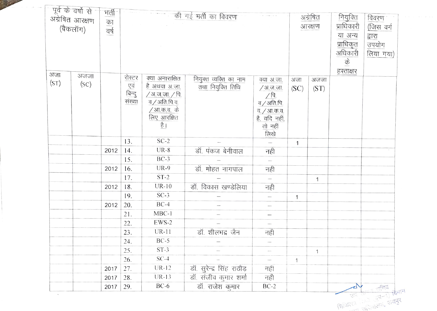| -पूर्व के वर्षो से<br>अग्रेषित आरक्षण<br>- (बैकलॉग)<br>अजा |              | भर्ती<br>का<br>वर्ष |                                   |                                                                                                               | की गई मती का विवरण                                 |                                                                                                                                                                                                                         | अग्रेषित<br>आरक्षण |              | नियुक्ति<br>प्राधिकारी<br>या अन्य<br>प्राधिकृत | विवरण :<br>(जिस वर्ग<br><u>द्वारा</u><br>उपयोग |
|------------------------------------------------------------|--------------|---------------------|-----------------------------------|---------------------------------------------------------------------------------------------------------------|----------------------------------------------------|-------------------------------------------------------------------------------------------------------------------------------------------------------------------------------------------------------------------------|--------------------|--------------|------------------------------------------------|------------------------------------------------|
|                                                            |              |                     |                                   |                                                                                                               |                                                    |                                                                                                                                                                                                                         |                    |              | अधिकारी<br>के<br>हस्ताक्षर                     | लिया गया)                                      |
| (ST)                                                       | अजजा<br>(SC) |                     | रोस्टर<br>एवं<br>बिन्दु<br>संख्या | क्या अनाराक्षित<br>है अथवा अ.जा.<br>$/$ अ.ज.जा. $/$ पि.<br>व / अति.पि.व.<br>/आ.क.व. के<br>लिए आरक्षित<br>है । | नियुक्त व्यक्ति का नाम<br>तथा नियुक्ति तिथि        | क्या अ.जा.<br>/ अ.ज.जा.<br>$\frac{\sqrt{\mathsf{H}}}{\sqrt{\mathsf{H} \mathsf{H}} \cdot \mathsf{H}}$ व $\sqrt{\mathsf{H} \mathsf{H} \cdot \mathsf{H}}$<br><u>व. / आ.क.व.</u><br>है, यदि नहीं,<br><u>तो नहीं</u><br>लिखे | अजा<br>(SC)        | अजजा<br>(ST) |                                                |                                                |
|                                                            |              |                     | 13.                               | $SC-2$                                                                                                        |                                                    |                                                                                                                                                                                                                         | $\mathbf{1}$       |              |                                                |                                                |
|                                                            |              | 2012                | 14.                               | $UR-8$                                                                                                        | डॉ. पंकज बेनीवाल                                   | नही                                                                                                                                                                                                                     |                    |              |                                                |                                                |
|                                                            |              |                     | 15.                               | $BC-3$                                                                                                        |                                                    | $\overline{\phantom{m}}$                                                                                                                                                                                                |                    |              |                                                |                                                |
|                                                            |              | 2012                | 16.                               | $UR-9$                                                                                                        | डॉ. मोहत नागपाल                                    | नही                                                                                                                                                                                                                     |                    |              |                                                |                                                |
|                                                            |              |                     | 17.                               | $ST-2$                                                                                                        |                                                    | $\overline{a}$                                                                                                                                                                                                          |                    | $\mathbf{1}$ |                                                |                                                |
|                                                            |              | 2012                | 18.                               | $UR-10$                                                                                                       | डॉ. विकास खण्डेलिया                                | नही                                                                                                                                                                                                                     |                    |              |                                                |                                                |
|                                                            |              |                     | 19.                               | $SC-3$                                                                                                        |                                                    |                                                                                                                                                                                                                         | $\mathbf{1}$       |              |                                                |                                                |
|                                                            |              | 2012                | 20.                               | $BC-4$                                                                                                        |                                                    | $\overline{\phantom{0}}$                                                                                                                                                                                                |                    |              |                                                |                                                |
|                                                            |              |                     | 21.                               | $MBC-1$                                                                                                       | $\overline{\phantom{0}}$                           | $\overline{\phantom{m}}$                                                                                                                                                                                                |                    |              |                                                |                                                |
|                                                            |              |                     | 22.                               | $EWS-2$                                                                                                       |                                                    | $\overline{\phantom{a}}$                                                                                                                                                                                                |                    |              |                                                |                                                |
|                                                            |              |                     | 23.                               | $UR-11$                                                                                                       | डॉ. शीलभद्र जैन                                    | नही                                                                                                                                                                                                                     |                    |              |                                                |                                                |
|                                                            |              |                     | 24.                               | $BC-5$                                                                                                        |                                                    | $\frac{1}{2}$                                                                                                                                                                                                           |                    |              |                                                |                                                |
|                                                            |              |                     | 25.                               | $ST-3$                                                                                                        |                                                    | $\overline{\phantom{a}}$                                                                                                                                                                                                |                    | $\mathbf{1}$ |                                                |                                                |
|                                                            |              |                     | 26.                               | $SC-4$                                                                                                        |                                                    | $\overline{a}$                                                                                                                                                                                                          | $\mathbf{1}$       |              |                                                |                                                |
|                                                            |              | 2017                | 27.                               | $UR-12$                                                                                                       |                                                    | नहीं                                                                                                                                                                                                                    |                    |              |                                                |                                                |
|                                                            |              | 2017                | 28.                               | $UR-13$                                                                                                       | डॉ. सुरेन्द्र सिंह राठौड़<br>डॉ. संजीव कुमार शर्मा | नही                                                                                                                                                                                                                     |                    |              |                                                |                                                |
|                                                            |              | 2017                | 29.                               | $BC-6$                                                                                                        | डॉ. राजेश कुमार                                    | $BC-2$                                                                                                                                                                                                                  |                    |              | खाकरण जान्या विभाग<br>विकिथी जन्मी विभाग       |                                                |

**COMMERCIAL CARDS**